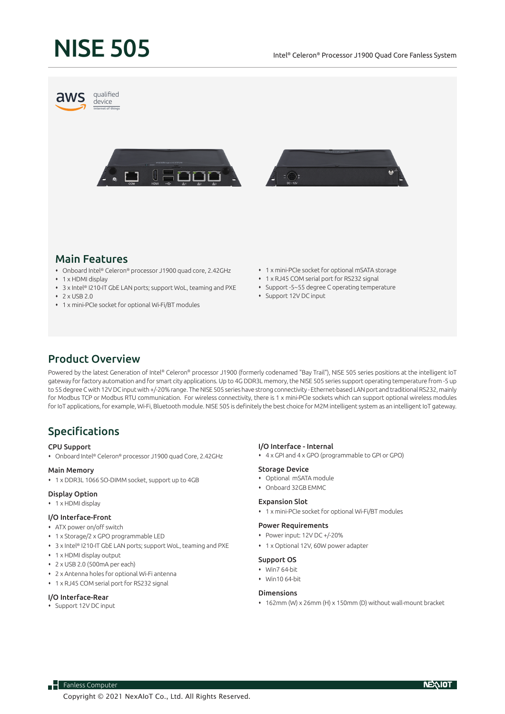# NISE 505



### Main Features

- Onboard Intel® Celeron® processor J1900 quad core, 2.42GHz
- 1 x HDMI display
- 3 x Intel® I210-IT GbE LAN ports; support WoL, teaming and PXE
- $\cdot$  2 x USB 2.0
- 1 x mini-PCIe socket for optional Wi-Fi/BT modules
- 1 x mini-PCIe socket for optional mSATA storage
- 1 x RJ45 COM serial port for RS232 signal
- Support -5~55 degree C operating temperature
- Support 12V DC input

## Product Overview

Powered by the latest Generation of Intel® Celeron® processor J1900 (formerly codenamed "Bay Trail"), NISE 505 series positions at the intelligent IoT gateway for factory automation and for smart city applications. Up to 4G DDR3L memory, the NISE 505 series support operating temperature from -5 up to 55 degree Cwith 12VDC input with +/-20% range. The NISE 505 series have strong connectivity - Ethernet-based LAN port and traditional RS232, mainly for Modbus TCP or Modbus RTU communication. For wireless connectivity, there is 1 x mini-PCIe sockets which can support optional wireless modules for IoT applications, for example, Wi-Fi, Bluetooth module. NISE 505 is definitely the best choice for M2M intelligent system as an intelligent IoT gateway.

# Specifications

#### CPU Support

Onboard Intel® Celeron® processor J1900 quad Core, 2.42GHz

#### Main Memory

1 x DDR3L 1066 SO-DIMM socket, support up to 4GB

#### Display Option

• 1 x HDMI display

#### I/O Interface-Front

- ATX power on/off switch
- 1 x Storage/2 x GPO programmable LED
- 3 x Intel® I210-IT GbE LAN ports; support WoL, teaming and PXE
- 1 x HDMI display output
- 2 x USB 2.0 (500mA per each)
- 2 x Antenna holes for optional Wi-Fi antenna
- 1 x RJ45 COM serial port for RS232 signal

#### I/O Interface-Rear

Support 12V DC input

#### I/O Interface - Internal

4 x GPI and 4 x GPO (programmable to GPI or GPO)

#### Storage Device

- Optional mSATA module
- Onboard 32GB EMMC

#### Expansion Slot

1 x mini-PCIe socket for optional Wi-Fi/BT modules

#### Power Requirements

- Power input: 12V DC +/-20%
- 1 x Optional 12V, 60W power adapter

#### Support OS

- Win7 64-bit
- Win10 64-bit

#### Dimensions

 162mm (W) x 26mm (H) x 150mm (D) without wall-mount bracket

**H** Fanless Computer